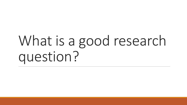# What is a good research question?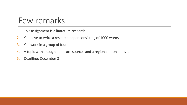### Few remarks

- 1. This assignment is a litarature research
- 2. You have to write a research paper consisting of 1000 words
- 3. You work in a group of four
- 4. A topic with enough literature sources and a regional or online issue
- 5. Deadline: December 8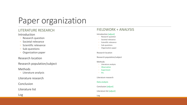# Paper organization

### LITERATURE RESEARCH

Introduction

- Research question
- Societal relevance
- Scientific relevance
- Sub-questions
- Organization paper

### Research location

Research population/subject

#### Methods

◦ Literature analysis

Literature research

### Conclusion

Literature list

### FIELDWORK + ANALYSIS

#### Introduction [adjust]

- Research question
- Societal relevance
- Scientific relevance
- Sub-questions
- Organization paper

Research location

Research population/subject

#### Methods

- Literature analysis
- **Observation**
- Experiment
- Etc.

#### Literature research

#### Data analysis

Log

Conclusion [adjust]

#### Literature list [adjust]

Log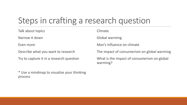### Steps in crafting a research question

| Talk about topics                        | Climate                                                 |
|------------------------------------------|---------------------------------------------------------|
| Narrow it down                           | <b>Global warming</b>                                   |
| Even more                                | Man's influence on climate                              |
| Describe what you want to research       | The impact of consumerism on global warming             |
| Try to capture it in a research question | What is the impact of consumerism on global<br>warming? |

\* Use a mindmap to visualize your thinking process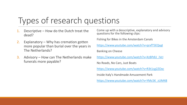### Types of research questions

- 1. Descriptive How do the Dutch treat the dead?
- 2. Explanatory Why has cremation gotten more popular than burial over the years in The Netherlands?
- 3. Advisory How can The Netherlands make funerals more payable?

Come up with a desscriptive, explanatory and advisory questions for the following clips:

Fishing for Bikes in the Amsterdam Canals

<https://www.youtube.com/watch?v=qrxfT5EQxgI>

Banking on Cheese

[https://www.youtube.com/watch?v=XzBPdU\\_iVcI](https://www.youtube.com/watch?v=XzBPdU_iVcI)

No Roads, No Cars, Just Boats

<https://www.youtube.com/watch?v=R3t1cg2ZOxc>

Inside Italy's Handmade Amusement Park

[https://www.youtube.com/watch?v=YMc5K\\_zUM48](https://www.youtube.com/watch?v=YMc5K_zUM48)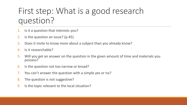# First step: What is a good research question?

- 1. Is it a question that interests you?
- 2. Is the question an issue? (p.45)
- 3. Does it invite to know more about a subject than you already know?
- 4. Is it researchable?
- 5. Will you get an answer on the question in the given amount of time and materials you possess?
- 6. Is the question not too narrow or broad?
- 7. You can't answer the question with a simple yes or no?
- 8. The question is not suggestive?
- 9. Is the topic relevant to the local situation?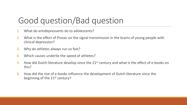# Good question/Bad question

- 1. What do antidepressants do to adolescents?
- 2. What is the effect of Prozac on the signal transmission in the brains of young people with clinical depression?
- 3. Why do athletes always run so fast?
- 4. Which causes underlie the speed of athletes?
- 5. How did Dutch literature develop since the  $21<sup>st</sup>$  century and what is the effect of e-books on this?
- 6. How did the rise of e-books influence the development of Dutch literature since the beginning of the  $21<sup>st</sup>$  century?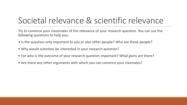# Societal relevance & scientific relevance

Try to convince your classmates of the relevance of your research question. You can use the following questions to help you:

- Is the question only important to you or also other people? Who are those people?
- Why would scientists be interested in your research question?
- For who is the outcome of your research question important? What gains are there?
- Are there any other arguments with which you can convince your clasmates?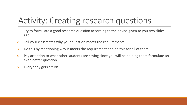# Activity: Creating research questions

- 1. Try to formulate a good research question according to the advise given to you two slides ago
- 2. Tell your classmates why your question meets the requirements
- 3. Do this by mentioning why it meets the requirement and do this for all of them
- 4. Pay attention to what other students are saying since you will be helping them formulate an even better question
- 5. Everybody gets a turn